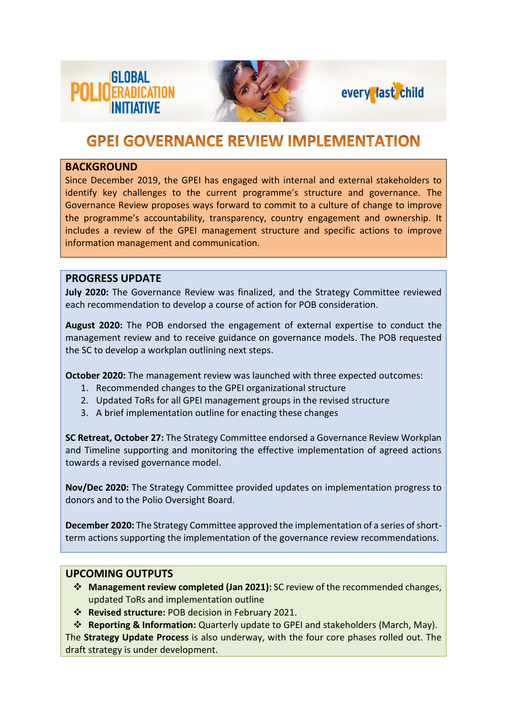





## **GPEI GOVERNANCE REVIEW IMPLEMENTATION**

#### **BACKGROUND**

Since December 2019, the GPEI has engaged with internal and external stakeholders to identify key challenges to the current programme's structure and governance. The Governance Review proposes ways forward to commit to a culture of change to improve the programme's accountability, transparency, country engagement and ownership. It includes a review of the GPEI management structure and specific actions to improve information management and communication.

### **PROGRESS UPDATE**

**July 2020:** The Governance Review was finalized, and the Strategy Committee reviewed each recommendation to develop a course of action for POB consideration.

**August 2020:** The POB endorsed the engagement of external expertise to conduct the management review and to receive guidance on governance models. The POB requested the SC to develop a workplan outlining next steps.

**October 2020:** The management review was launched with three expected outcomes:

- 1. Recommended changes to the GPEI organizational structure
- 2. Updated ToRs for all GPEI management groups in the revised structure
- 3. A brief implementation outline for enacting these changes

**SC Retreat, October 27:** The Strategy Committee endorsed a Governance Review Workplan and Timeline supporting and monitoring the effective implementation of agreed actions towards a revised governance model.

**Nov/Dec 2020:** The Strategy Committee provided updates on implementation progress to donors and to the Polio Oversight Board.

**December 2020:** The Strategy Committee approved the implementation of a series of shortterm actions supporting the implementation of the governance review recommendations.

### **UPCOMING OUTPUTS**

- ❖ **Management review completed (Jan 2021):** SC review of the recommended changes, updated ToRs and implementation outline
- ❖ **Revised structure:** POB decision in February 2021.
- ❖ **Reporting & Information:** Quarterly update to GPEI and stakeholders (March, May).

The **Strategy Update Process** is also underway, with the four core phases rolled out. The draft strategy is under development.